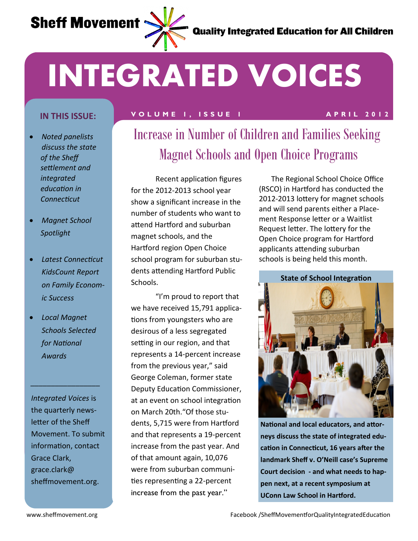

# **INTEGRATED VOICES**

- *Noted panelists discuss the state of the Sheff settlement and integrated education in Connecticut*
- *Magnet School Spotlight*
- *Latest Connecticut KidsCount Report on Family Economic Success*
- *Local Magnet Schools Selected for National Awards*

*\_\_\_\_\_\_\_\_\_\_\_\_\_\_\_\_\_*

*Integrated Voices* is the quarterly newsletter of the Sheff Movement. To submit information, contact Grace Clark, grace.clark@ sheffmovement.org.

### **V O L U M E 1 , I S S U E 1 A P R I L 2 0 1 2 IN THIS ISSUE:**

# Increase in Number of Children and Families Seeking Magnet Schools and Open Choice Programs

Recent application figures for the 2012-2013 school year show a significant increase in the number of students who want to attend Hartford and suburban magnet schools, and the Hartford region Open Choice school program for suburban students attending Hartford Public Schools.

"I'm proud to report that we have received 15,791 applications from youngsters who are desirous of a less segregated setting in our region, and that represents a 14-percent increase from the previous year," said George Coleman, former state Deputy Education Commissioner, at an event on school integration on March 20th."Of those students, 5,715 were from Hartford and that represents a 19-percent increase from the past year. And of that amount again, 10,076 were from suburban communities representing a 22-percent increase from the past year."

The Regional School Choice Office (RSCO) in Hartford has conducted the 2012-2013 lottery for magnet schools and will send parents either a Placement Response letter or a Waitlist Request letter. The lottery for the Open Choice program for Hartford applicants attending suburban schools is being held this month.

**State of School Integration**



**National and local educators, and attorneys discuss the state of integrated education in Connecticut, 16 years after the landmark Sheff v. O'Neill case's Supreme Court decision - and what needs to happen next, at a recent symposium at UConn Law School in Hartford.**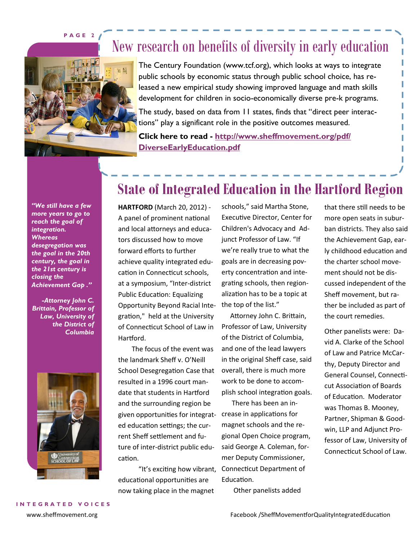**P A G E 2**

### New research on benefits of diversity in early education



The Century Foundation (www.tcf.org), which looks at ways to integrate public schools by economic status through public school choice, has released a new empirical study showing improved language and math skills development for children in socio-economically diverse pre-k programs.

The study, based on data from 11 states, finds that "direct peer interactions" play a significant role in the positive outcomes measured.

**Click here to read - [http://www.sheffmovement.org/pdf/](http://www.sheffmovement.org/pdf/DiverseEarlyEducation.pdf) [DiverseEarlyEducation.pdf](http://www.sheffmovement.org/pdf/DiverseEarlyEducation.pdf)**

*"We still have a few more years to go to reach the goal of integration. Whereas desegregation was the goal in the 20th century, the goal in the 21st century is closing the Achievement Gap ."*

*-Attorney John C. Brittain, Professor of Law, University of the District of Columbia*



### **State of Integrated Education in the Hartford Region**

**HARTFORD** (March 20, 2012) - A panel of prominent national and local attorneys and educators discussed how to move forward efforts to further achieve quality integrated education in Connecticut schools, at a symposium, "Inter-district Public Education: Equalizing Opportunity Beyond Racial Integration," held at the University of Connecticut School of Law in Hartford.

 The focus of the event was the landmark Sheff v. O'Neill School Desegregation Case that resulted in a 1996 court mandate that students in Hartford and the surrounding region be given opportunities for integrat-crease in applications for ed education settings; the current Sheff settlement and future of inter-district public education.

 "It's exciting how vibrant, Connecticut Department of educational opportunities are now taking place in the magnet

schools," said Martha Stone, Executive Director, Center for Children's Advocacy and Adjunct Professor of Law. "If we're really true to what the goals are in decreasing poverty concentration and integrating schools, then regionalization has to be a topic at the top of the list."

 Attorney John C. Brittain, Professor of Law, University of the District of Columbia, and one of the lead lawyers in the original Sheff case, said overall, there is much more work to be done to accomplish school integration goals.

 There has been an inmagnet schools and the regional Open Choice program, said George A. Coleman, former Deputy Commissioner, Education.

Other panelists added

that there still needs to be more open seats in suburban districts. They also said the Achievement Gap, early childhood education and the charter school movement should not be discussed independent of the Sheff movement, but rather be included as part of the court remedies.

Other panelists were: David A. Clarke of the School of Law and Patrice McCarthy, Deputy Director and General Counsel, Connecticut Association of Boards of Education. Moderator was Thomas B. Mooney, Partner, Shipman & Goodwin, LLP and Adjunct Professor of Law, University of Connecticut School of Law.

**I N T E G R A T E D V O I C E S**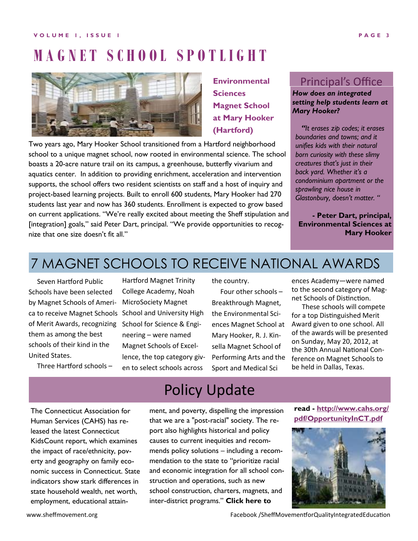#### **V O L U M E 1 , I S S U E 1 P A G E 3**

## **M A G N E T S C H O O L S P O T L I G H T**



### **Environmental Sciences Magnet School at Mary Hooker (Hartford)**

Two years ago, Mary Hooker School transitioned from a Hartford neighborhood school to a unique magnet school, now rooted in environmental science. The school boasts a 20-acre nature trail on its campus, a greenhouse, butterfly vivarium and aquatics center. In addition to providing enrichment, acceleration and intervention supports, the school offers two resident scientists on staff and a host of inquiry and project-based learning projects. Built to enroll 600 students, Mary Hooker had 270 students last year and now has 360 students. Enrollment is expected to grow based on current applications. "We're really excited about meeting the Sheff stipulation and [integration] goals," said Peter Dart, principal. "We provide opportunities to recognize that one size doesn't fit all."

### Principal's Office

#### *How does an integrated setting help students learn at Mary Hooker?*

*"It erases zip codes; it erases boundaries and towns; and it unifies kids with their natural born curiosity with these slimy creatures that's just in their back yard. Whether it's a condominium apartment or the sprawling nice house in Glastonbury, doesn't matter. "*

**- Peter Dart, principal, Environmental Sciences at Mary Hooker** 

### 7 MAGNET SCHOOLS TO RECEIVE NATIONAL AWARDS

 Seven Hartford Public Schools have been selected by Magnet Schools of America to receive Magnet Schools School and University High of Merit Awards, recognizing them as among the best schools of their kind in the United States.

Hartford Magnet Trinity College Academy, Noah MicroSociety Magnet School for Science & Engineering – were named Magnet Schools of Excellence, the top category given to select schools across

the country.

 Four other schools – Breakthrough Magnet, the Environmental Sciences Magnet School at Mary Hooker, R. J. Kinsella Magnet School of Performing Arts and the Sport and Medical Sci

ences Academy—were named to the second category of Magnet Schools of Distinction.

 These schools will compete for a top Distinguished Merit Award given to one school. All of the awards will be presented on Sunday, May 20, 2012, at the 30th Annual National Conference on Magnet Schools to be held in Dallas, Texas.

Three Hartford schools –

The Connecticut Association for Human Services (CAHS) has released the latest Connecticut KidsCount report, which examines the impact of race/ethnicity, poverty and geography on family economic success in Connecticut. State indicators show stark differences in state household wealth, net worth, employment, educational attain-

### Policy Update

ment, and poverty, dispelling the impression that we are a "post-racial" society. The report also highlights historical and policy causes to current inequities and recommends policy solutions – including a recommendation to the state to "prioritize racial and economic integration for all school construction and operations, such as new school construction, charters, magnets, and inter-district programs." **Click here to** 

**read - [http://www.cahs.org/](http://www.cahs.org/pdf/OpportunityInCT.pdf) [pdf/OpportunityInCT.pdf](http://www.cahs.org/pdf/OpportunityInCT.pdf)**